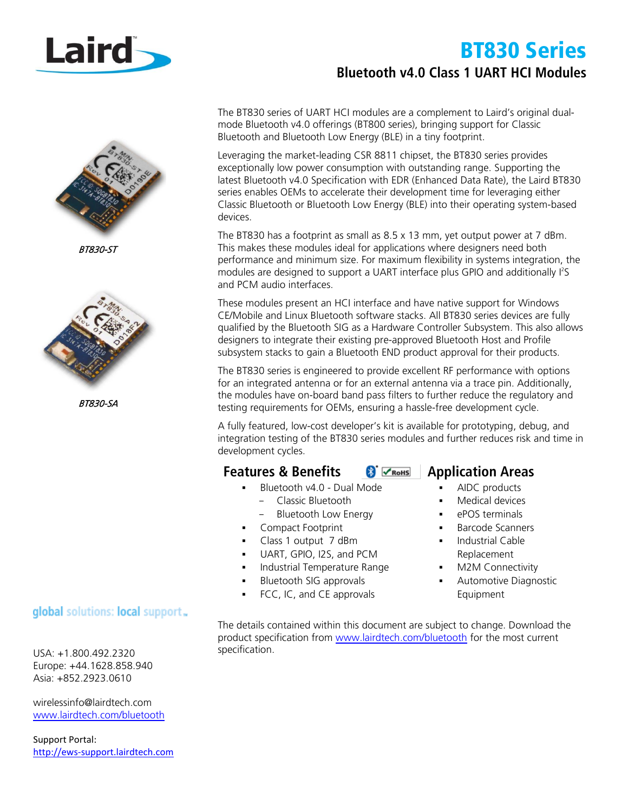

BT830-ST



BT830-SA

### global solutions: local support.

USA: +1.800.492.2320 Europe: +44.1628.858.940 Asia: +852.2923.0610

[wirelessinfo@lairdtech.com](mailto:wirelessinfo@lairdtech.com) [www.lairdtech.com/bluetooth](http://www.lairdtech.com/bluetooth)

Support Portal: [http://ews-support.lairdtech.com](http://ews-support.lairdtech.com/)

# BT830 Series **Bluetooth v4.0 Class 1 UART HCI Modules**

The BT830 series of UART HCI modules are a complement to Laird's original dualmode Bluetooth v4.0 offerings (BT800 series), bringing support for Classic Bluetooth and Bluetooth Low Energy (BLE) in a tiny footprint.

Leveraging the market-leading CSR 8811 chipset, the BT830 series provides exceptionally low power consumption with outstanding range. Supporting the latest Bluetooth v4.0 Specification with EDR (Enhanced Data Rate), the Laird BT830 series enables OEMs to accelerate their development time for leveraging either Classic Bluetooth or Bluetooth Low Energy (BLE) into their operating system-based devices.

The BT830 has a footprint as small as 8.5 x 13 mm, yet output power at 7 dBm. This makes these modules ideal for applications where designers need both performance and minimum size. For maximum flexibility in systems integration, the modules are designed to support a UART interface plus GPIO and additionally I<sup>2</sup>S and PCM audio interfaces.

These modules present an HCI interface and have native support for Windows CE/Mobile and Linux Bluetooth software stacks. All BT830 series devices are fully qualified by the Bluetooth SIG as a Hardware Controller Subsystem. This also allows designers to integrate their existing pre-approved Bluetooth Host and Profile subsystem stacks to gain a Bluetooth END product approval for their products.

The BT830 series is engineered to provide excellent RF performance with options for an integrated antenna or for an external antenna via a trace pin. Additionally, the modules have on-board band pass filters to further reduce the regulatory and testing requirements for OEMs, ensuring a hassle-free development cycle.

A fully featured, low-cost developer's kit is available for prototyping, debug, and integration testing of the BT830 series modules and further reduces risk and time in development cycles.

## **Features & Benefits 8**  $\frac{1}{2}$   $\frac{1}{2}$  **Application Areas**

- Bluetooth v4.0 Dual Mode
- Classic Bluetooth
- Bluetooth Low Energy
- **Compact Footprint**
- Class 1 output 7 dBm
- UART, GPIO, I2S, and PCM
- **Industrial Temperature Range**
- **Bluetooth SIG approvals**
- FCC, IC, and CE approvals

- AIDC products
- Medical devices
- ePOS terminals
- Barcode Scanners
- Industrial Cable Replacement
- M2M Connectivity
- Automotive Diagnostic Equipment

The details contained within this document are subject to change. Download the product specification from [www.lairdtech.com/bluetooth](http://www.lairdtech.com/bluetooth) for the most current specification.